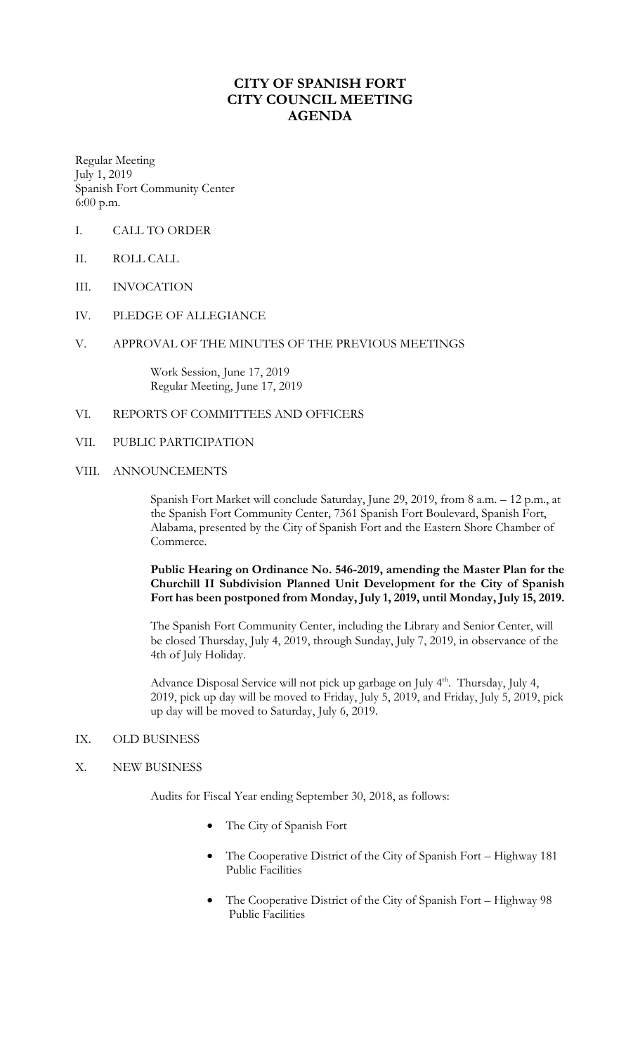## **CITY OF SPANISH FORT CITY COUNCIL MEETING AGENDA**

Regular Meeting July 1, 2019 Spanish Fort Community Center 6:00 p.m.

- I. CALL TO ORDER
- II. ROLL CALL
- III. INVOCATION
- IV. PLEDGE OF ALLEGIANCE
- V. APPROVAL OF THE MINUTES OF THE PREVIOUS MEETINGS

Work Session, June 17, 2019 Regular Meeting, June 17, 2019

- VI. REPORTS OF COMMITTEES AND OFFICERS
- VII. PUBLIC PARTICIPATION
- VIII. ANNOUNCEMENTS

Spanish Fort Market will conclude Saturday, June 29, 2019, from 8 a.m. – 12 p.m., at the Spanish Fort Community Center, 7361 Spanish Fort Boulevard, Spanish Fort, Alabama, presented by the City of Spanish Fort and the Eastern Shore Chamber of Commerce.

**Public Hearing on Ordinance No. 546-2019, amending the Master Plan for the Churchill II Subdivision Planned Unit Development for the City of Spanish Fort has been postponed from Monday, July 1, 2019, until Monday, July 15, 2019.** 

The Spanish Fort Community Center, including the Library and Senior Center, will be closed Thursday, July 4, 2019, through Sunday, July 7, 2019, in observance of the 4th of July Holiday.

Advance Disposal Service will not pick up garbage on July 4<sup>th</sup>. Thursday, July 4, 2019, pick up day will be moved to Friday, July 5, 2019, and Friday, July 5, 2019, pick up day will be moved to Saturday, July 6, 2019.

- IX. OLD BUSINESS
- X. NEW BUSINESS

Audits for Fiscal Year ending September 30, 2018, as follows:

- The City of Spanish Fort
- The Cooperative District of the City of Spanish Fort Highway 181 Public Facilities
- The Cooperative District of the City of Spanish Fort Highway 98 Public Facilities